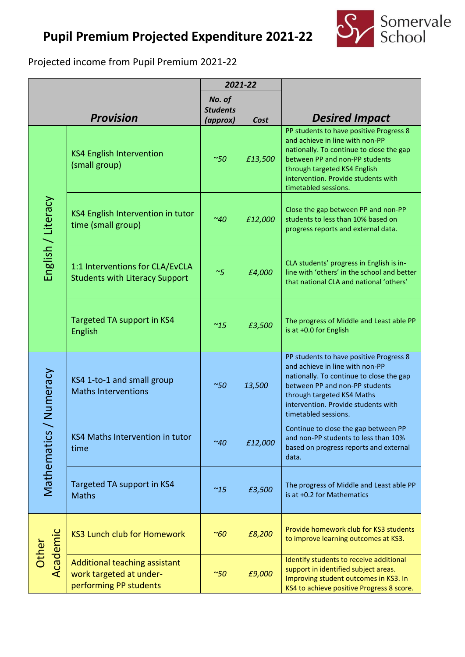## **Pupil Premium Projected Expenditure 2021-22**



Projected income from Pupil Premium 2021-22

|                           |                                                                                    | 2021-22                               |         |                                                                                                                                                                                                                                                         |  |
|---------------------------|------------------------------------------------------------------------------------|---------------------------------------|---------|---------------------------------------------------------------------------------------------------------------------------------------------------------------------------------------------------------------------------------------------------------|--|
|                           | <b>Provision</b>                                                                   | No. of<br><b>Students</b><br>(approx) | Cost    | <b>Desired Impact</b>                                                                                                                                                                                                                                   |  |
| English / Literacy        | <b>KS4 English Intervention</b><br>(small group)                                   | $~\sim 50$                            | £13,500 | PP students to have positive Progress 8<br>and achieve in line with non-PP<br>nationally. To continue to close the gap<br>between PP and non-PP students<br>through targeted KS4 English<br>intervention. Provide students with<br>timetabled sessions. |  |
|                           | KS4 English Intervention in tutor<br>time (small group)                            | ~40                                   | £12,000 | Close the gap between PP and non-PP<br>students to less than 10% based on<br>progress reports and external data.                                                                                                                                        |  |
|                           | 1:1 Interventions for CLA/EvCLA<br><b>Students with Literacy Support</b>           | ~5                                    | £4,000  | CLA students' progress in English is in-<br>line with 'others' in the school and better<br>that national CLA and national 'others'                                                                                                                      |  |
|                           | <b>Targeted TA support in KS4</b><br>English                                       | $^{\sim}$ 15                          | £3,500  | The progress of Middle and Least able PP<br>is at +0.0 for English                                                                                                                                                                                      |  |
| / Numeracy<br>Mathematics | KS4 1-to-1 and small group<br><b>Maths Interventions</b>                           | $~\sim 50$                            | 13,500  | PP students to have positive Progress 8<br>and achieve in line with non-PP<br>nationally. To continue to close the gap<br>between PP and non-PP students<br>through targeted KS4 Maths<br>intervention. Provide students with<br>timetabled sessions.   |  |
|                           | KS4 Maths Intervention in tutor<br>time                                            | ~40                                   | £12,000 | Continue to close the gap between PP<br>and non-PP students to less than 10%<br>based on progress reports and external<br>data.                                                                                                                         |  |
|                           | Targeted TA support in KS4<br><b>Maths</b>                                         | $~^{\sim}15$                          | £3,500  | The progress of Middle and Least able PP<br>is at +0.2 for Mathematics                                                                                                                                                                                  |  |
| Academic<br>Other         | <b>KS3 Lunch club for Homework</b>                                                 | $~\sim 60$                            | £8,200  | Provide homework club for KS3 students<br>to improve learning outcomes at KS3.                                                                                                                                                                          |  |
|                           | Additional teaching assistant<br>work targeted at under-<br>performing PP students | $~\sim 50$                            | £9,000  | Identify students to receive additional<br>support in identified subject areas.<br>Improving student outcomes in KS3. In<br>KS4 to achieve positive Progress 8 score.                                                                                   |  |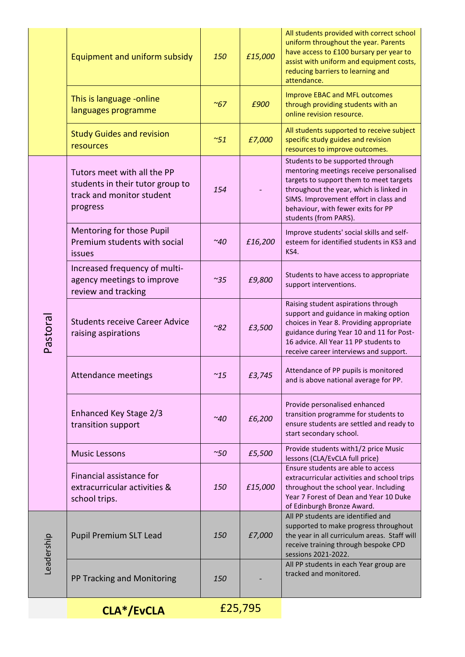|            | Equipment and uniform subsidy                                                                            | 150          | £15,000 | All students provided with correct school<br>uniform throughout the year. Parents<br>have access to £100 bursary per year to<br>assist with uniform and equipment costs,<br>reducing barriers to learning and<br>attendance.                                              |
|------------|----------------------------------------------------------------------------------------------------------|--------------|---------|---------------------------------------------------------------------------------------------------------------------------------------------------------------------------------------------------------------------------------------------------------------------------|
|            | This is language -online<br>languages programme                                                          | $~\sim 67$   | £900    | <b>Improve EBAC and MFL outcomes</b><br>through providing students with an<br>online revision resource.                                                                                                                                                                   |
|            | <b>Study Guides and revision</b><br>resources                                                            | ~51          | £7,000  | All students supported to receive subject<br>specific study guides and revision<br>resources to improve outcomes.                                                                                                                                                         |
| Pastoral   | Tutors meet with all the PP<br>students in their tutor group to<br>track and monitor student<br>progress | 154          |         | Students to be supported through<br>mentoring meetings receive personalised<br>targets to support them to meet targets<br>throughout the year, which is linked in<br>SIMS. Improvement effort in class and<br>behaviour, with fewer exits for PP<br>students (from PARS). |
|            | Mentoring for those Pupil<br>Premium students with social<br>issues                                      | $~\sim$ 40   | £16,200 | Improve students' social skills and self-<br>esteem for identified students in KS3 and<br>KS4.                                                                                                                                                                            |
|            | Increased frequency of multi-<br>agency meetings to improve<br>review and tracking                       | $^{\sim}35$  | £9,800  | Students to have access to appropriate<br>support interventions.                                                                                                                                                                                                          |
|            | <b>Students receive Career Advice</b><br>raising aspirations                                             | ~82          | £3,500  | Raising student aspirations through<br>support and guidance in making option<br>choices in Year 8. Providing appropriate<br>guidance during Year 10 and 11 for Post-<br>16 advice. All Year 11 PP students to<br>receive career interviews and support.                   |
|            | <b>Attendance meetings</b>                                                                               | $^{\sim}$ 15 | £3,745  | Attendance of PP pupils is monitored<br>and is above national average for PP.                                                                                                                                                                                             |
|            | Enhanced Key Stage 2/3<br>transition support                                                             | ~40          | £6,200  | Provide personalised enhanced<br>transition programme for students to<br>ensure students are settled and ready to<br>start secondary school.                                                                                                                              |
|            | <b>Music Lessons</b>                                                                                     | ~50          | £5,500  | Provide students with 1/2 price Music<br>lessons (CLA/EvCLA full price)                                                                                                                                                                                                   |
|            | Financial assistance for<br>extracurricular activities &<br>school trips.                                | 150          | £15,000 | Ensure students are able to access<br>extracurricular activities and school trips<br>throughout the school year. Including<br>Year 7 Forest of Dean and Year 10 Duke<br>of Edinburgh Bronze Award.                                                                        |
| Leadership | <b>Pupil Premium SLT Lead</b>                                                                            | 150          | £7,000  | All PP students are identified and<br>supported to make progress throughout<br>the year in all curriculum areas. Staff will<br>receive training through bespoke CPD<br>sessions 2021-2022.                                                                                |
|            | PP Tracking and Monitoring                                                                               | 150          |         | All PP students in each Year group are<br>tracked and monitored.                                                                                                                                                                                                          |
|            | CLA*/EvCLA                                                                                               | £25,795      |         |                                                                                                                                                                                                                                                                           |